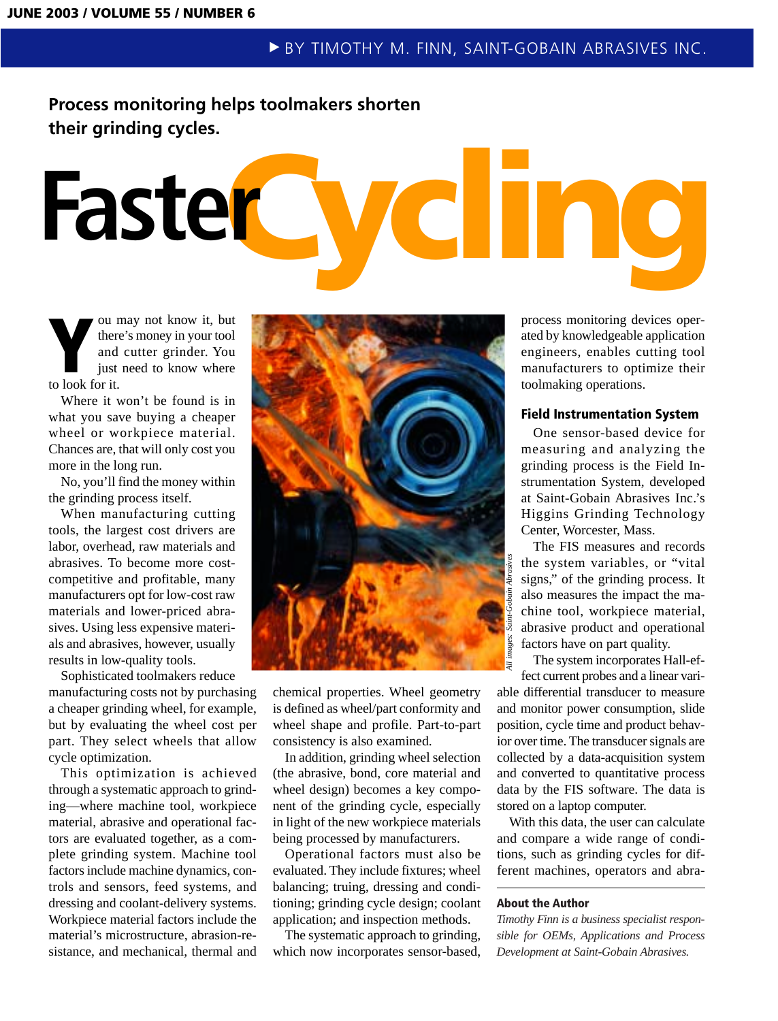# **Process monitoring helps toolmakers shorten their grinding cycles.**

# Faster**Cycling**

**Y** ou may not know it, but<br>there's money in your tool<br>and cutter grinder. You<br>just need to know where<br>to look for it. there's money in your tool and cutter grinder. You just need to know where to look for it.

Where it won't be found is in what you save buying a cheaper wheel or workpiece material. Chances are, that will only cost you more in the long run.

No, you'll find the money within the grinding process itself.

When manufacturing cutting tools, the largest cost drivers are labor, overhead, raw materials and abrasives. To become more costcompetitive and profitable, many manufacturers opt for low-cost raw materials and lower-priced abrasives. Using less expensive materials and abrasives, however, usually results in low-quality tools.

Sophisticated toolmakers reduce manufacturing costs not by purchasing a cheaper grinding wheel, for example, but by evaluating the wheel cost per part. They select wheels that allow cycle optimization.

This optimization is achieved through a systematic approach to grinding—where machine tool, workpiece material, abrasive and operational factors are evaluated together, as a complete grinding system. Machine tool factors include machine dynamics, controls and sensors, feed systems, and dressing and coolant-delivery systems. Workpiece material factors include the material's microstructure, abrasion-resistance, and mechanical, thermal and



chemical properties. Wheel geometry is defined as wheel/part conformity and wheel shape and profile. Part-to-part consistency is also examined.

In addition, grinding wheel selection (the abrasive, bond, core material and wheel design) becomes a key component of the grinding cycle, especially in light of the new workpiece materials being processed by manufacturers.

Operational factors must also be evaluated. They include fixtures; wheel balancing; truing, dressing and conditioning; grinding cycle design; coolant application; and inspection methods.

The systematic approach to grinding, which now incorporates sensor-based,

process monitoring devices operated by knowledgeable application engineers, enables cutting tool manufacturers to optimize their toolmaking operations.

### **Field Instrumentation System**

One sensor-based device for measuring and analyzing the grinding process is the Field Instrumentation System, developed at Saint-Gobain Abrasives Inc.'s Higgins Grinding Technology Center, Worcester, Mass.

The FIS measures and records the system variables, or "vital signs," of the grinding process. It also measures the impact the machine tool, workpiece material, abrasive product and operational factors have on part quality.

The system incorporates Hall-effect current probes and a linear variable differential transducer to measure and monitor power consumption, slide position, cycle time and product behavior over time. The transducer signals are collected by a data-acquisition system and converted to quantitative process data by the FIS software. The data is stored on a laptop computer. Ference is signs," of the grinding process. It<br>is signs," of the grinding process. It<br>is also measures the impact the ma-<br>chine tool, workpiece material,<br>abrasive product and operational<br>factors have on part quality.<br>The s

With this data, the user can calculate and compare a wide range of conditions, such as grinding cycles for dif-

### **About the Author**

*Timothy Finn is a business specialist responsible for OEMs, Applications and Process Development at Saint-Gobain Abrasives.*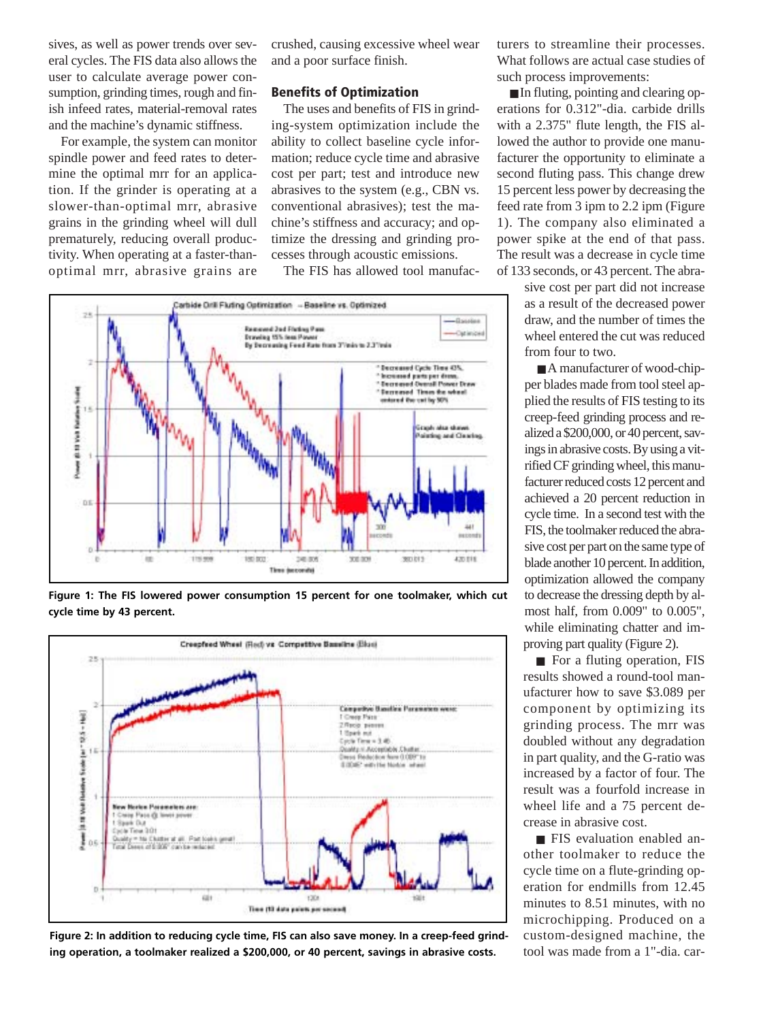sives, as well as power trends over several cycles. The FIS data also allows the user to calculate average power consumption, grinding times, rough and finish infeed rates, material-removal rates and the machine's dynamic stiffness.

For example, the system can monitor spindle power and feed rates to determine the optimal mrr for an application. If the grinder is operating at a slower-than-optimal mrr, abrasive grains in the grinding wheel will dull prematurely, reducing overall productivity. When operating at a faster-thanoptimal mrr, abrasive grains are

crushed, causing excessive wheel wear and a poor surface finish.

## **Benefits of Optimization**

The uses and benefits of FIS in grinding-system optimization include the ability to collect baseline cycle information; reduce cycle time and abrasive cost per part; test and introduce new abrasives to the system (e.g., CBN vs. conventional abrasives); test the machine's stiffness and accuracy; and optimize the dressing and grinding processes through acoustic emissions.

The FIS has allowed tool manufac-



**Figure 1: The FIS lowered power consumption 15 percent for one toolmaker, which cut cycle time by 43 percent.**



**Figure 2: In addition to reducing cycle time, FIS can also save money. In a creep-feed grinding operation, a toolmaker realized a \$200,000, or 40 percent, savings in abrasive costs.**

turers to streamline their processes. What follows are actual case studies of such process improvements:

■ In fluting, pointing and clearing operations for 0.312"-dia. carbide drills with a 2.375" flute length, the FIS allowed the author to provide one manufacturer the opportunity to eliminate a second fluting pass. This change drew 15 percent less power by decreasing the feed rate from 3 ipm to 2.2 ipm (Figure 1). The company also eliminated a power spike at the end of that pass. The result was a decrease in cycle time of 133 seconds, or 43 percent. The abra-

> sive cost per part did not increase as a result of the decreased power draw, and the number of times the wheel entered the cut was reduced from four to two.

> ■ A manufacturer of wood-chipper blades made from tool steel applied the results of FIS testing to its creep-feed grinding process and realized a \$200,000, or 40 percent, savings in abrasive costs. By using a vitrified CF grinding wheel, this manufacturer reduced costs 12 percent and achieved a 20 percent reduction in cycle time. In a second test with the FIS, the toolmaker reduced the abrasive cost per part on the same type of blade another 10 percent. In addition, optimization allowed the company to decrease the dressing depth by almost half, from 0.009" to 0.005", while eliminating chatter and improving part quality (Figure 2).

> ■ For a fluting operation, FIS results showed a round-tool manufacturer how to save \$3.089 per component by optimizing its grinding process. The mrr was doubled without any degradation in part quality, and the G-ratio was increased by a factor of four. The result was a fourfold increase in wheel life and a 75 percent decrease in abrasive cost.

> ■ FIS evaluation enabled another toolmaker to reduce the cycle time on a flute-grinding operation for endmills from 12.45 minutes to 8.51 minutes, with no microchipping. Produced on a custom-designed machine, the tool was made from a 1"-dia. car-